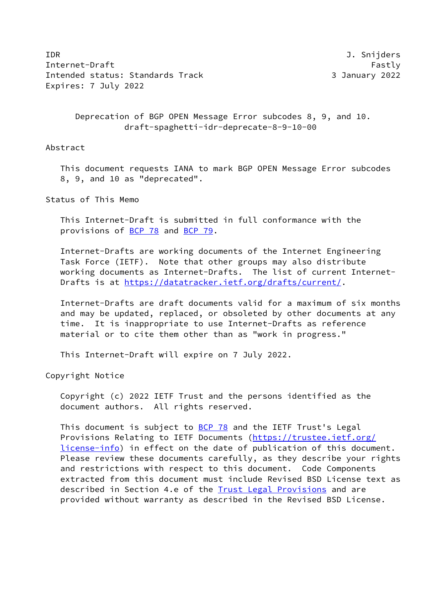IDR J. Snijders Internet-Draft Fastly Fastly Intended status: Standards Track 3 January 2022 Expires: 7 July 2022

 Deprecation of BGP OPEN Message Error subcodes 8, 9, and 10. draft-spaghetti-idr-deprecate-8-9-10-00

Abstract

 This document requests IANA to mark BGP OPEN Message Error subcodes 8, 9, and 10 as "deprecated".

Status of This Memo

 This Internet-Draft is submitted in full conformance with the provisions of [BCP 78](https://datatracker.ietf.org/doc/pdf/bcp78) and [BCP 79](https://datatracker.ietf.org/doc/pdf/bcp79).

 Internet-Drafts are working documents of the Internet Engineering Task Force (IETF). Note that other groups may also distribute working documents as Internet-Drafts. The list of current Internet- Drafts is at<https://datatracker.ietf.org/drafts/current/>.

 Internet-Drafts are draft documents valid for a maximum of six months and may be updated, replaced, or obsoleted by other documents at any time. It is inappropriate to use Internet-Drafts as reference material or to cite them other than as "work in progress."

This Internet-Draft will expire on 7 July 2022.

Copyright Notice

 Copyright (c) 2022 IETF Trust and the persons identified as the document authors. All rights reserved.

This document is subject to  $BCP$  78 and the IETF Trust's Legal Provisions Relating to IETF Documents ([https://trustee.ietf.org/](https://trustee.ietf.org/license-info) [license-info](https://trustee.ietf.org/license-info)) in effect on the date of publication of this document. Please review these documents carefully, as they describe your rights and restrictions with respect to this document. Code Components extracted from this document must include Revised BSD License text as described in Section 4.e of the **Trust Legal Provisions** and are provided without warranty as described in the Revised BSD License.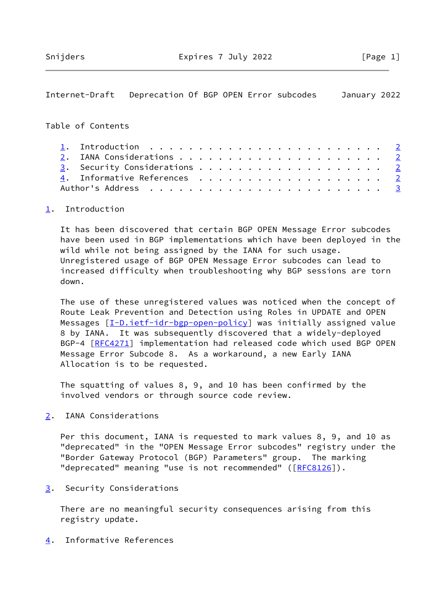## <span id="page-1-1"></span>Internet-Draft Deprecation Of BGP OPEN Error subcodes January 2022

## Table of Contents

|  | 1. Introduction $\ldots \ldots \ldots \ldots \ldots \ldots \ldots \ldots \ldots$ |  |  |  |  |  |  |  |  |  |  |
|--|----------------------------------------------------------------------------------|--|--|--|--|--|--|--|--|--|--|
|  |                                                                                  |  |  |  |  |  |  |  |  |  |  |
|  | 3. Security Considerations 2                                                     |  |  |  |  |  |  |  |  |  |  |
|  | 4. Informative References 2                                                      |  |  |  |  |  |  |  |  |  |  |
|  |                                                                                  |  |  |  |  |  |  |  |  |  |  |

## <span id="page-1-0"></span>[1](#page-1-0). Introduction

 It has been discovered that certain BGP OPEN Message Error subcodes have been used in BGP implementations which have been deployed in the wild while not being assigned by the IANA for such usage. Unregistered usage of BGP OPEN Message Error subcodes can lead to increased difficulty when troubleshooting why BGP sessions are torn down.

 The use of these unregistered values was noticed when the concept of Route Leak Prevention and Detection using Roles in UPDATE and OPEN Messages [\[I-D.ietf-idr-bgp-open-policy](#page-2-1)] was initially assigned value 8 by IANA. It was subsequently discovered that a widely-deployed BGP-4 [[RFC4271](https://datatracker.ietf.org/doc/pdf/rfc4271)] implementation had released code which used BGP OPEN Message Error Subcode 8. As a workaround, a new Early IANA Allocation is to be requested.

 The squatting of values 8, 9, and 10 has been confirmed by the involved vendors or through source code review.

<span id="page-1-2"></span>[2](#page-1-2). IANA Considerations

 Per this document, IANA is requested to mark values 8, 9, and 10 as "deprecated" in the "OPEN Message Error subcodes" registry under the "Border Gateway Protocol (BGP) Parameters" group. The marking "deprecated" meaning "use is not recommended" ([\[RFC8126](https://datatracker.ietf.org/doc/pdf/rfc8126)]).

<span id="page-1-3"></span>[3](#page-1-3). Security Considerations

 There are no meaningful security consequences arising from this registry update.

<span id="page-1-4"></span>[4](#page-1-4). Informative References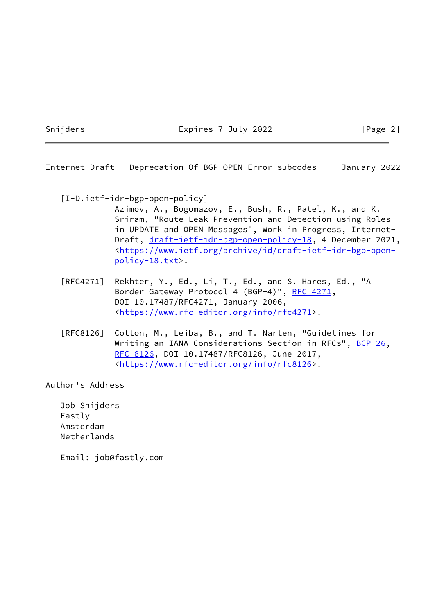Snijders **Expires 7 July 2022** [Page 2]

<span id="page-2-0"></span>Internet-Draft Deprecation Of BGP OPEN Error subcodes January 2022

<span id="page-2-1"></span>[I-D.ietf-idr-bgp-open-policy]

 Azimov, A., Bogomazov, E., Bush, R., Patel, K., and K. Sriram, "Route Leak Prevention and Detection using Roles in UPDATE and OPEN Messages", Work in Progress, Internet Draft, [draft-ietf-idr-bgp-open-policy-18,](https://datatracker.ietf.org/doc/pdf/draft-ietf-idr-bgp-open-policy-18) 4 December 2021, <[https://www.ietf.org/archive/id/draft-ietf-idr-bgp-open](https://www.ietf.org/archive/id/draft-ietf-idr-bgp-open-policy-18.txt) [policy-18.txt>](https://www.ietf.org/archive/id/draft-ietf-idr-bgp-open-policy-18.txt).

- [RFC4271] Rekhter, Y., Ed., Li, T., Ed., and S. Hares, Ed., "A Border Gateway Protocol 4 (BGP-4)", [RFC 4271,](https://datatracker.ietf.org/doc/pdf/rfc4271) DOI 10.17487/RFC4271, January 2006, <[https://www.rfc-editor.org/info/rfc4271>](https://www.rfc-editor.org/info/rfc4271).
- [RFC8126] Cotton, M., Leiba, B., and T. Narten, "Guidelines for Writing an IANA Considerations Section in RFCs", [BCP 26](https://datatracker.ietf.org/doc/pdf/bcp26), [RFC 8126,](https://datatracker.ietf.org/doc/pdf/rfc8126) DOI 10.17487/RFC8126, June 2017, <[https://www.rfc-editor.org/info/rfc8126>](https://www.rfc-editor.org/info/rfc8126).

Author's Address

 Job Snijders Fastly Amsterdam Netherlands

Email: job@fastly.com